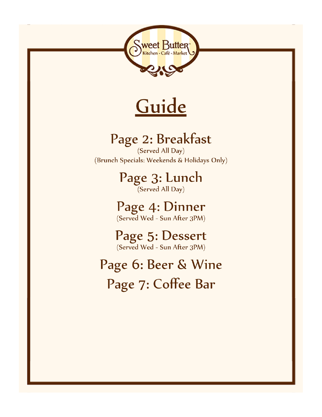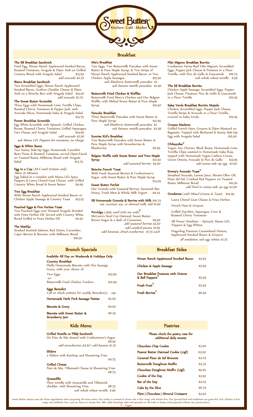

#### The SB Breakfast Sandwich

Fried Egg, Niman Ranch Applewood Smoked Bacon, Roasted Tomatoes, Arugula & Dijon Aioli on Grilled Country Bread with Arugula Salad \$13.95 add avocado \$2.75

#### Bistro Breakfast Sandwich

Two Scrambled Eggs, Niman Ranch Applewood Smoked Bacon, Grafton Cheddar Cheese & Dijon Aioli on a Brioche Bun with Arugula Salad \$14.50 add avocado \$2.75

#### The Sweet Butter Scramble

Three Eggs with Homemade Lime Tortilla Chips, Roasted Cherry Tomatoes & Pepper Jack, with Avocado Slices, Homemade Salsa & Arugula Salad \$13.75

#### er Breakfast Scramble

Egg White Scramble with Spinach, Grilled Chicken Breast, Roasted Cherry Tomatoes, Grilled Asparagus, Feta Cheese and Arugula Salad \$14.95 add avocado \$2.50

sub Mama Lil's Peppers for tomatoes, no charge

# Eggs & White Beans

Two Sunny Side-Up Eggs, Homemade Cannelini Bean Purée & Roasted Tomatoes, served Open-Faced on Toasted Rustic Millstone Bread with Arugula<br>Salad \$13.7 Salad \$13.75

# Egg in a Cup (M-F until 11:00am only)

Allow 15 Minutes Egg baked in a ramekin with Mama Lil's Spicy Peppers & Laura Chenel Goat Cheese, with Grilled Country White Bread & Sweet Butter \$9.95

#### vo Egg Breakfa

With Niman Ranch Applewood Smoked Bacon or Chicken Apple Sausage & Country Toast \$13.25

#### Poached Eggs & Fine Herbes Toast

Two Poached Eggs over Dressed Arugula drizzled with Fines Herbes Oil. Served with Country White Bread Grilled in Fines Herbes Oil \$11.50

#### **The Matiliia**

Smoked Scottish Salmon, Red Onion, Cucumber, Caper Berries & Boursin, with Millstone Bread \$16.50

# Breakfast

# Mia's Breakfast

Two Eggs, Two Buttermilk Pancakes with Sweet Butter & Pure Maple Syrup, & Two Strips of Niman Ranch Applewood Smoked Bacon or Two Chicken Apple Sausages \$15.50 sub blueberry buttermilk pancakes \$2 sub banana nutella pancakes \$2.95

#### Buttermilk Fried Chicken & Waffles

Buttermilk Fried Mary's Chicken and Our Belgian Waffle, with Melted Sweet Butter & Pure Maple  $Syrup$  \$15.50

#### Pancake Breakfast

Three Buttermilk Pancakes with Sweet Butter & Pure Maple Syrup **\$12.95**  sub blueberry buttermilk pancakes \$2 sub banana nutella pancakes \$2.95

#### Sunrise Kid's Breakfast

Two Buttermilk Pancakes with Sweet Butter & Pure Maple Syrup with Strawberries & Blueberries \$11.95

# Belgian Waffle with Sweet Butter and Pure Maple

Syrup add seasonal berries \$3.50

#### Brioche French Toast With Fresh Seasonal Berries & Confectioner's Sugar, with Sweet Butter & Pure Maple Syrup

Sweet Butter Parfait

Our Granola with Seasonal Berries, Savannah Bee Honey, Fresh Mint & Whole Milk Yogurt \$11.25

#### SB Homemade Granola & Berries with Milk \$10.75 oat, coconut, soy, or almond milk, add \$1.00

Porridge  $(daily\ until\ 11:00\ am\ only)$ McCann's Steel Cut Oatmeal, Sweet Butter, Brown Sugar & a dash of Cinnamon \$9.50 add seasonal berries \$3.50 add candied pecans \$1.95 add bananas, dried cranberries \$1.75 each V

# Filet Mignon Breakfast Burrito

Creekstone Farms Beef Filet Mignon, Scrambled Eggs, Pepper Jack Cheese & Potatoes in a Flour<br>Tortilla, with Pico de Gallo & Guacamole \$16.75 Tortilla, with Pico de Gallo & Guacamole sub whole wheat tortilla \$.95

#### The SB Breakfast Burrito

Chicken Apple Sausage, Scrambled Eggs, Pepper Jack Cheese, Potatoes, Pico de Gallo & Guacamole<br>in a Flour Tortilla \$15.95 in a Flour Tortilla

# Salsa Verde Breakfast Burrito Mojado

Chicken, Scrambled Eggs, Pepper Jack Cheese, Tortilla Strips & Avocado in a Flour Tortilla, covered in Salsa Verde.

#### Croque Madame

Grilled French Ham, Gruyere & Dijon Mustard on Baguette, Topped with Béchamel & Sunny Side-Up Egg with Arugula Salad \$15.50

#### Chilaquiles <sup>V</sup>

\$13.95

Vegan. Soy Chorizo, Black Beans, Homemade Lime Tortilla Chips sautéed in Homemade Salsa Roja, topped with Homemade Vegan Cashew Crema,<br>Green Onions, Avocado & Pico de Gallo \$13.95 Green Onions, Avocado & Pico de Gallo add sunny-side up egg \$2.50

#### Emma's Avocado Toast<sup>V</sup>

Smashed Avocado, Lemon Juice, Monini Olive Oil, Fleur del Sel, Crushed Red Peppers on Toasted Rustic Millstone Bread add fried or sunny-side up egg \$2.50

Omelettes (with Mixed Greens & Toast) \$14.95

Laura Chenel Goat Cheese & Fines Herbes

French Ham & Gruyere

Grilled Zucchini, Asparagus, Corn & Roasted Cherry Tomatoes

 SB Power Omelette – Spinach, Mama Lil's Peppers & Egg Whites

Fingerling Potatoes Caramelized Onions, Applewood Smoked Bacon & Gruyere all omelettes: sub egg whites \$1.75

# Brunch Specials **Breakfast Sides**

| Available All Day on Weekends & Holidays Only                              |         | Niman Ranch Applewood Smoked Bacon                   |        |
|----------------------------------------------------------------------------|---------|------------------------------------------------------|--------|
| <b>Country Breakfast</b>                                                   |         |                                                      | \$5.95 |
| Fluffy Homemade Biscuits with Our Sausage<br>Gravy, with your choice of:   |         | Chicken & Apple Sausage                              | \$5.95 |
| <b>Two Eggs</b><br>$-0r-$                                                  | \$13.95 | Our Breakfast Potatoes with Onions<br>& Bell Peppers | \$5.95 |
| <b>Buttermilk Fried Chicken Tenders</b>                                    | \$14.95 | Fresh Fruit                                          | \$5.95 |
| <b>Eggs Benedict</b><br>Call or check website for weekly Benedict(s)<br>mp |         | Fresh Berries <sup>V</sup>                           | \$6.50 |

# Pastries

#### ise check the pastry case for additional daily sweets

| <b>Chocolate Chip Cookie</b>         | \$3.50 |
|--------------------------------------|--------|
| Peanut Butter Oatmeal Cookie (v/gf)  | \$3.50 |
| Caramel Fleur de Sel Brownie         | \$4.75 |
| <b>Buttermilk Doughnut Muffin</b>    | \$4.75 |
| Chocolate Doughnut Muffin (v/gf)     | \$4.95 |
| Cookie of the Day                    | \$3.50 |
| Bar of the Day                       | \$4.75 |
| Cake by the Slice                    | \$6.75 |
| Plain   Chocolate   Almond Croissant | \$4.50 |

Two Eggs  $$13.95$ -or-Buttermilk Fried Chicken Tenders \$14.95 Eggs Benedict Call or check website for weekly Benedict(s) mp Homemade Herb Pork Sausage Patties \$5.95 Biscuits & Gravy **Biscuits & Gravy** Biscuits with Sweet Butter & \$6.25 Strawberry Jam Kids Menu

Grilled Nutella or PB&J Sandwich On Pain de Mie dusted with Confectioner's Sugar \$8.50 add strawberries \$3.50 | add banana \$1.75 Sliders 2 Sliders with Ketchup and Shoestring Fries \$9.75

Grilled Cheese Pain de Mie, Tillamook Cheese & Shoestring Fries \$8.75

# **Ouesadilla**

Flour tortilla with mozzarella and Tillamook cheddar, with Shoestring Fries sub whole wheat tortilla \$.95

Sweet Butter always uses the finest ingredients when preparing all menu items. Our turkey is roasted in house and is free range and nitrate free. Our ground beef and tenderloin are grass fed. Our chicken is free range and antibiotic free, and our bacon is nitrate free. SB's salad dressings, dips and spreads are all made in house and prepared without any preservatives.<br>V = Vegan V = Vegan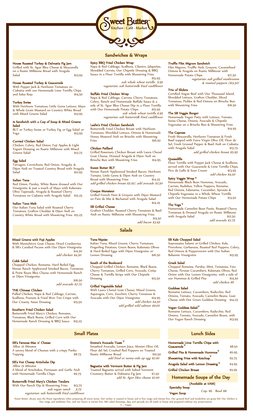

# House Roasted Turkey & Dalmatia Fig Jam

Grilled with St. Agur Bleu Cheese & Mozzarella on a Rustic Millstone Bread with Arugula<br>Salad \$13.95

# House Roasted Turkey & Guacamole

With Pepper Jack & Heirloom Tomatoes on Ciabatta with our Homemade Lime Tortilla Chips and Salsa Roja

#### Turkey Swiss

With Heirloom Tomatoes, Little Gems Lettuce, Mayo & Whole Grain Mustard on Country White Bread<br>with Mixed Greens Salad \$13.95 with Mixed Greens Salad

#### ½ Sandwich with a Cup of Soup & Mixed Greens Salad

BLT or Turkey Swiss or Turkey Fig or Egg Salad or Yoga **\$13.95** 

#### Curried Chicken Salad

Chicken, Celery, Red Onion, Fuji Apples & Light Yogurt Dressing on Rustic Millstone with Mixed<br>Greens Salad \$13.75 Greens Salad

#### Egg Salad

Tarragon, Cornichons, Red Onion, Arugula, & Dijon Aioli on Toasted Country Bread with Arugula  $Salad$   $$12.95$ 

#### Italian Tuna

Red Onion, Parsley, White Beans dressed with Our Vinaigrette & just a touch of Mayo with Kalamata Olive Tapenade, Arugula & Roasted Cherry Tomatoes on Ciabatta with Arugula Salad<sup>5</sup> \$15.25

#### Italian Tuna Melt

Our Italian Tuna Salad with Roasted Cherry Tomatoes, Grafton Cheddar & Dijon Aioli on Country White Bread with Shoestring Fries \$15.25

# Mixed Greens with Fuji Apples

With Montchèvre Goat Cheese, Dried Cranberries & SB's Candied Pecans with Our Dijon Vinaigrette \$14.50

add chicken \$4.50

#### Cobb Salad

Chopped Chicken, Romaine, Hard Boiled Egg, Niman Ranch Applewood Smoked Bacon, Tomatoes & Point Reyes Bleu Cheese with Homemade Ranch or Dijon Vinaigrette \$16.50

add avocado \$2.75

#### THE Chinese Chicken

Pulled Chicken, Napa & Red Cabbage, Carrots, Scallions, Peanuts & Fried Won Ton Crisps with Our Creamy Asian Dressing \$15.50

#### Southern Fried Chicken Salad

SB's Famous Mac n' Cheese

SB's Hot Cheesy Artichoke Dip

with Homemade Tortilla Chips

Allow 15 Minutes

Allow 15 Minutes

Topping

Buttermilk Fried Mary's Chicken, Romaine, Tomatoes, Black Beans, Grilled Corn with Our Homemade Ranch Dressing & BBQ Sauce \$15.25

A savory blend of Cheeses with a crispy Panko

A blend of Artichokes, Parmesan and Garlic Aioli

Buttermilk Fried Mary's Chicken Tenders With Our Ranch Dip & Shoestring Fries \$13.75

# Sandwiches & Wraps

#### Spicy BBQ Fried Chicken Wrap

Napa & Red Cabbage, Scallions, Cilantro, Jalapeños, Shredded Carrots, Our Chipotle Dressing & BBQ Sauce in a Flour Tortilla with Shoestring Fries \$15.95

sub whole wheat tortilla \$.95 vegetarian: sub buttermilk fried cauliflower

#### Buffalo Fried Chicken Wrap

Napa & Red Cabbage, Carrots, Cherry Tomatoes, Celery, Ranch and Homemade Buffalo Sauce & a side of St. Agur Bleu Cheese Dip in a Flour Tortilla with Our Homemade Potato Chips \$15.95 sub whole wheat tortilla \$.95 vegetarian: sub buttermilk fried cauliflower

#### Leslie's Fried Chicken Sandwich

Buttermilk Fried Chicken Breast with Heirloom Tomatoes, Shredded Lettuce, Onions & Homemade Honey Mustard Aioli on Brioche with Shoestring  $Fries$   $$16.50$ 

#### Chicken Paillard

Grilled Rosemary Chicken Breast with Laura Chenel Goat Cheese, Dressed Arugula & Dijon Aioli on Brioche Bun with Shoestring Fries

#### Sweet Butter BLT

Niman Ranch Applewood Smoked Bacon, Heirloom Tomato, Little Gems & Dijon Aioli on Country<br>Tomato, Little Gems & Dijon Aioli on Country<br>Bread with Shoestring Fries \$14.25 Bread with Shoestring Fries add grilled chicken breast \$5.95 | add avocado \$2.50

# Croque Monsieur

Grilled French Ham & Gruyere with Dijon Mustard on Pain de Mie & Béchamel with Arugula Salad \$14.25

#### SB Grilled Cheese

Grafton Cheddar, Roasted Cherry Tomatoes & Basil Aioli on Rustic Millstone with Shoestring Fries \$13.50

add bacon \$3.95

#### Salads

#### Tuna Niçoise

Italian Tuna, Mixed Greens, Cherry Tomatoes, Fingerling Potatoes, Green Beans, Kalamata Olives & Hard Boiled Eggs with Dijon Vinaigrette or<br>Lemon Dressing \$16.50 Lemon Dressing **\$16.50** 

#### South of the Boulevard

Chopped Grilled Chicken, Romaine, Black Beans, Cherry Tomatoes, Grilled Corn, Avocado, Cotija Cheese & Tortilla Strips with Our Chipotle **Dressing** 

#### Grilled Vegetable Salad

Asparagus, Corn, Zucchini, Cherry Tomatoes & Avocado with Our Dijon Vinaigrette \$14.95 add chicken \$4.50 add grilled wild salmon \$9.00

# SB Kale Chopped Salad

Truffle Filet Mignon Sandwich

Homemade Potato Chips

Trio of Sliders

The Caprese

**Ouesadilla** 

The Yoga V

with Arugula Salad

Spicy Veggie Wrap

with Shoestring Fries The SB Veggie Burger

Filet Mignon, Truffle Aioli, Gruyere, Caramelized Onions & Arugula on Rustic Millstone with

Certified Angus Beef with Our Thousand Island, Shredded Lettuce, Grafton Cheddar, Sliced Tomatoes, Pickles & Red Onions on Brioche Bun

Homemade Vegan Patty with Lettuce, Tomato, Swiss Cheese, Onions, Avocado & Chipotle Vegenaise on a Brioche Bun & Shoestring Fries

Fresh Mozzarella, Heirloom Tomatoes & Fresh Basil topped with Extra Virgin Olive Oil, Fleur de Sel, Fresh Ground Pepper & Basil Aioli on Ciabatta

Flour Tortilla with Pepper Jack Cheese & Scallions, served with Our Guacamole & Lime Tortilla Chips, Pico de Gallo & Sour Cream \$13.95

Homemade Black Bean Hummus, Avocado, Carrots, Radishes, Yellow Peppers, Romaine, Red Onions, Edamame, Cucumber, Sprouts & Chipotle Vegenaise in a Whole Wheat Tortilla

V

with Our Homemade Potato Chips

vegetarian: sub grilled mushrooms & roasted peppers (\$13.50)

add grilled chicken breast \$5.95

add chicken \$4.50

add avocado \$2.75

\$14.95

Sopressatta Salami or Grilled Chicken, Kale, Provolone, Garbanzos, Roasted Red Peppers, Celery, Red Onions & Pepperoncini with Our Italian<br>Balsamic Vinaigrette Balsamic Vinaigrette

Homemade Cannelini Bean Purée, Roasted Cherry Tomatoes & Dressed Arugula on Rustic Millstone with Arugula Salad \$12.50

Chopped Romaine, Parsley, Mint, Tomatoes, Feta Cheese, Persian Cucumbers, Kalamata Olives, Red Onion with Our Lemon Vinaigrette, with a side of Official With Our Bernor, Theory Concerns 314.50 add chicken \$6

#### Goddess Salad

Romaine Lettuce, Cucumbers, Radicchio, Red Onions, Tomato, Avocado, Cannelini Beans, Goat Cheese with Our Green Goddess Dressing \$14.25

# Vegan Goddess Salad <sup>V</sup>

Romaine Lettuce, Cucumbers, Radicchio, Red Onions, Tomato, Avocado, Cannelini Beans, with Our Vegan Ranch Dressing \$13.95

# Small Plates

# Emma's Avocado Toast <sup>V</sup>

Smashed Avocado, Lemon Juice, Monini Olive Oil, Fleur del Sel, Crushed Red Peppers on Toasted Rustic Millstone Bread add fried or sunny-side up egg \$2.00

#### Baguette with Vermont Butter & Fig Jam

Toasted Baguette served with Salted Vermont Creamery Butter & Dalmatia Fig Jam add St. Agur bleu cheese \$2.00

# Lunch Sides

| Homemade Lime Tortilla Chips with<br>Guacamole <sup>V</sup> |  | \$8.50 |
|-------------------------------------------------------------|--|--------|
| Grilled Pita & Homemade Hummus <sup>V</sup>                 |  | \$6.95 |
| Shoestring Fries with Ketchup $^{\mathsf{V}}$               |  | \$5.75 |
| Arugula Salad with Lemon Dressing $^{\mathsf{V}}$           |  | \$4.95 |
| Grilled Chicken Breast                                      |  | \$5.95 |
| $\sim$ 10 $\sim$ 10                                         |  |        |

Homemade Soups of the Day

Cup: \$6 Bowl \$8

 (Available at 11AM) Specialty Soup

Sweet Butter always uses the finest ingredients when preparing all menu items. Our turkey is roasted in house and is free range and nitrate free. Our ground beef and tenderloin are grass fed. Our chicken is free range and

With Laura Chenel Goat Cheese, Mixed Greens,

# Greek Salad

sub vegan ranch \$.75 vegetarian: sub buttermilk fried cauliflower Vegan Soup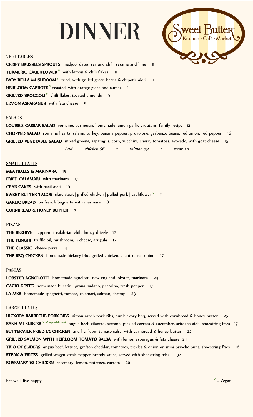# DINNER



# **VEGETABLES**

CRISPY BRUSSELS SPROUTS medjool dates, serrano chili, sesame and lime 11 **TURMERIC CAULIFLOWER**  $\check{v}$  with lemon & chili flakes 11 BABY BELLA MUSHROOM  $V$  fried, with grilled green beans & chipotle aioli 11 HEIRLOOM CARROTS<sup>V</sup> roasted, with orange glaze and sumac **GRILLED BROCCOLI**  $^{\vee}$  chili flakes, toasted almonds 9 LEMON ASPARAGUS with feta cheese 9

# **SALADS**

LOUISE'S CAESAR SALAD romaine, parmesan, homemade lemon-garlic croutons, family recipe 12 CHOPPED SALAD romaine hearts, salami, turkey, banana pepper, provolone, garbanzo beans, red onion, red pepper 16 GRILLED VEGETABLE SALAD mixed greens, asparagus, corn, zucchini, cherry tomatoes, avocado, with goat cheese Add: chicken \$6 • salmon \$9 • steak \$11 15

# SMALL PLATES

MEATBALLS & MARINARA 15 FRIED CALAMARI with marinara 17 CRAB CAKES with basil aioli 19 **SWEET BUTTER TACOS** skirt steak | grilled chicken | pulled pork | cauliflower  $\frac{v}{11}$ GARLIC BREAD on french baguette with marinara 8 CORNBREAD & HONEY BUTTER 7

# PIZZAS

THE BEEHIVE pepperoni, calabrian chili, honey drizzle 17 THE FUNGHI truffle oil, mushroom, 3 cheese, arugula 17 THE CLASSIC cheese pizza 14 THE BBQ CHICKEN homemade hickory bbq, grilled chicken, cilantro, red onion 17

# **PASTAS**

LOBSTER AGNOLOTTI homemade agnolotti, new england lobster, marinara 24 CACIO E PEPE homemade bucatini, grana padano, pecorino, fresh pepper 17 LA MER homemade spaghetti, tomato, calamari, salmon, shrimp 23

# LARGE PLATES

HICKORY BARBECUE PORK RIBS niman ranch pork ribs, our hickory bbq, served with cornbread & honey butter 25 BANH M1 BURGER <sup>V w/ impossible meat</sup> angus beef, cilantro, serrano, pickled carrots & cucumber, sriracha aioli, shoestring fries 17 BUTTERMILK FRIED 1/2 CHICKEN and heirloom tomato salsa, with cornbread & honey butter 22 GRILLED SALMON WITH HEIRLOOM TOMATO SALSA with lemon asparagus & feta cheese 24 TRIO OF SLIDERS angus beef, lettuce, grafton cheddar, tomatoes, pickles & onion on mini brioche buns, shoestring fries 16 STEAK & FRITES grilled wagyu steak, pepper-brandy sauce, served with shoestring fries 32 ROSEMARY 1/2 CHICKEN rosemary, lemon, potatoes, carrots 20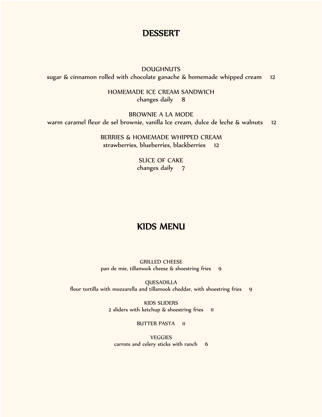# **DESSERT**

**DOUGHNUTS** sugar & cinnamon rolled with chocolate ganache & homemade whipped cream 12

> HOMEMADE ICE CREAM SANDWICH changes daily 8

BROWNIE A LA MODE warm caramel fleur de sel brownie, vanilla Ice cream, dulce de leche & walnuts 12

> BERRIES & HOMEMADE WHIPPED CREAM strawberries, blueberries, blackberries 12

> > SLICE OF CAKE changes daily 7

# KIDS MENU

GRILLED CHEESE pan de mie, tillamook cheese & shoestring fries 9

QUESADILLA flour tortilla with mozzarella and tillamook cheddar, with shoestring fries 9

> KIDS SLIDERS 2 sliders with ketchup & shoestring fries 11

> > BUTTER PASTA 11

**VEGGIES** carrots and celery sticks with ranch 6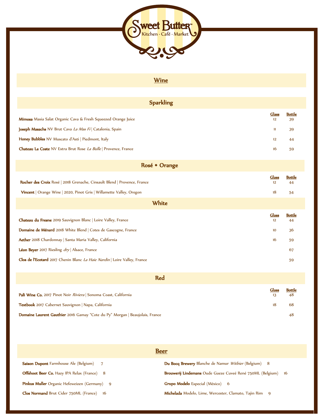

# **Wine**

| <b>Sparkling</b>                                                          |                    |                     |
|---------------------------------------------------------------------------|--------------------|---------------------|
| Mimosa Masia Salat Organic Cava & Fresh Squeezed Orange Juice             | <b>Glass</b><br>12 | <b>Bottle</b><br>39 |
| Joseph Masachs NV Brut Cava La Mas Fi   Catalonia, Spain                  | n                  | 39                  |
| Honey Bubbles NV Muscato d'Asti   Piedmont, Italy                         | 12                 | 44                  |
| Chateau La Coste NV Extra Brut Rose La Bulle   Provence, France           | 16                 | 59                  |
|                                                                           |                    |                     |
| Rosé + Orange                                                             |                    |                     |
| Rocher des Croix Rosé   2018 Grenache, Cinsault Blend   Provence, France  | Glass<br>12        | <b>Bottle</b><br>44 |
| Vincent   Orange Wine   2020, Pinot Gris   Willamette Valley, Oregon      | 18                 | 54                  |
| White                                                                     |                    |                     |
| Chateau du Fresne 2019 Sauvignon Blanc   Loire Valley, France             | Glass<br>12        | <b>Bottle</b><br>44 |
| Domaine de Ménard 2018 White Blend   Cotes de Gascogne, France            | 10                 | 36                  |
| Aether 2018 Chardonnay   Santa Maria Valley, California                   | 16                 | 59                  |
| Léon Beyer 2017 Riesling dry   Alsace, France                             |                    | 67                  |
| Clos de l'Ecotard 2017 Chenin Blanc La Haie Nardin   Loire Valley, France |                    |                     |
|                                                                           |                    |                     |
| <b>Red</b>                                                                |                    |                     |
| Pali Wine Co. 2017 Pinot Noir Riviera   Sonoma Coast, California          | <b>Glass</b><br>13 | <b>Bottle</b><br>48 |

Textbook 2017 Cabernet Sauvignon | Napa, California 18 68

Domaine Laurent Gauthier 2016 Gamay "Cote du Py" Morgan | Beaujolais, France 48

| <b>Beer</b>                                        |                                                                        |  |  |  |
|----------------------------------------------------|------------------------------------------------------------------------|--|--|--|
| <b>Saison Dupont</b> Farmhouse Ale (Belgium) 7     | <b>Du Bocq Brewery</b> Blanche de Namur Witbier (Belgium) 8            |  |  |  |
| <b>Offshoot Beer Co.</b> Hazy IPA Relax (France) 8 | <b>Brouwerij Lindemans</b> Oude Gueze Cuveé René 750ML (Belgium)<br>16 |  |  |  |
| Pinkus Muller Organic Hefeweizen (Germany) 9       | <b>Grupo Modelo</b> Especial (México) 6                                |  |  |  |
| <b>Clos Normand Brut Cider 750ML (France)</b> 16   | <b>Michelada</b> Modelo, Lime, Wercester, Clamato, Tajin Rim 9         |  |  |  |